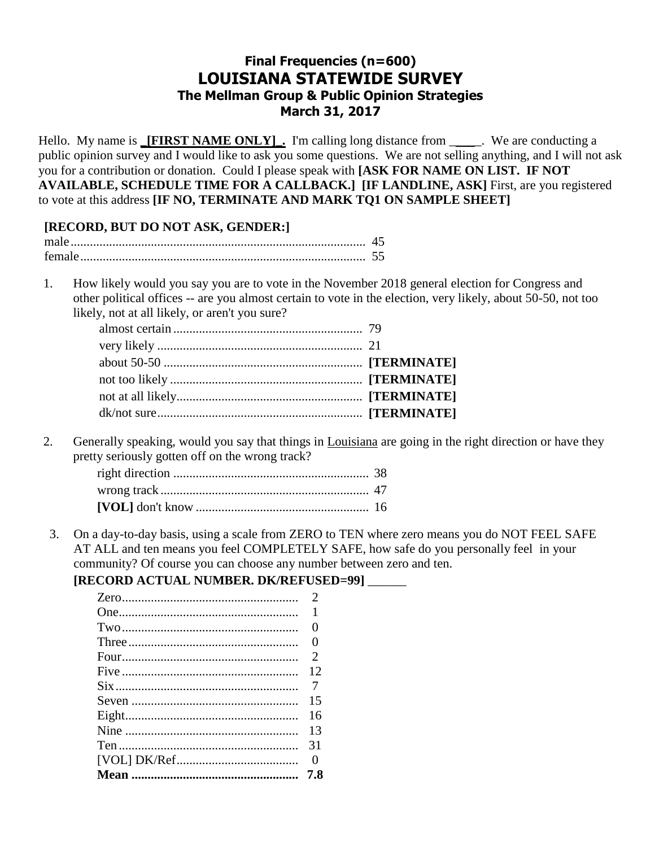## **Final Frequencies (n=600) LOUISIANA STATEWIDE SURVEY** The Mellman Group & Public Opinion Strategies March 31, 2017

Hello. My name is **[FIRST NAME ONLY]**. I'm calling long distance from \_\_\_\_\_. We are conducting a public opinion survey and I would like to ask you some questions. We are not selling anything, and I will not ask you for a contribution or donation. Could I please speak with [ASK FOR NAME ON LIST. IF NOT AVAILABLE, SCHEDULE TIME FOR A CALLBACK.] [IF LANDLINE, ASK] First, are you registered to vote at this address [IF NO, TERMINATE AND MARK TQ1 ON SAMPLE SHEET]

## [RECORD, BUT DO NOT ASK, GENDER:]

| female |  |
|--------|--|

How likely would you say you are to vote in the November 2018 general election for Congress and 1. other political offices -- are you almost certain to vote in the election, very likely, about 50-50, not too likely, not at all likely, or aren't you sure?

2. Generally speaking, would you say that things in Louisiana are going in the right direction or have they pretty seriously gotten off on the wrong track?

On a day-to-day basis, using a scale from ZERO to TEN where zero means you do NOT FEEL SAFE  $3.$ AT ALL and ten means you feel COMPLETELY SAFE, how safe do you personally feel in your community? Of course you can choose any number between zero and ten.

## [RECORD ACTUAL NUMBER. DK/REFUSED=99] \_\_\_\_\_

| $\mathcal{D}_{\mathcal{L}}$ |
|-----------------------------|
| 1                           |
| 0                           |
| 0                           |
| 2                           |
| 12                          |
| 7                           |
| 15                          |
| 16                          |
| 13                          |
| 31                          |
| 0                           |
| 7.8                         |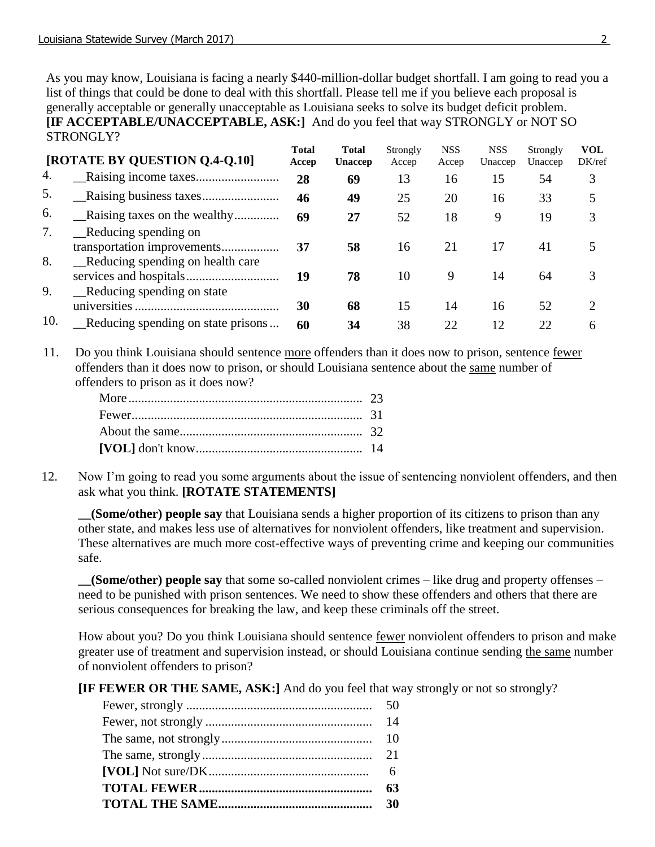As you may know, Louisiana is facing a nearly \$440-million-dollar budget shortfall. I am going to read you a list of things that could be done to deal with this shortfall. Please tell me if you believe each proposal is generally acceptable or generally unacceptable as Louisiana seeks to solve its budget deficit problem. **[IF ACCEPTABLE/UNACCEPTABLE, ASK:]** And do you feel that way STRONGLY or NOT SO STRONGLY?

|          | [ROTATE BY QUESTION Q.4-Q.10]                                   | <b>Total</b><br>Accep | <b>Total</b><br><b>Unaccep</b> | Strongly<br>Accep | <b>NSS</b><br>Accep | <b>NSS</b><br>Unaccep | Strongly<br>Unaccep | <b>VOL</b><br>DK/ref |  |
|----------|-----------------------------------------------------------------|-----------------------|--------------------------------|-------------------|---------------------|-----------------------|---------------------|----------------------|--|
| 4.       |                                                                 | 28                    | 69                             | 13                | 16                  | 15                    | 54                  | 3                    |  |
| 5.       |                                                                 | 46                    | 49                             | 25                | 20                  | 16                    | 33                  | 5                    |  |
| 6.       |                                                                 | 69                    | 27                             | 52                | 18                  | 9                     | 19                  | 3                    |  |
| 7.       | _Reducing spending on<br>transportation improvements            | 37                    | 58                             | 16                | 21                  | 17                    | 41                  | 5                    |  |
| 8.<br>9. | _Reducing spending on health care<br>Reducing spending on state | 19                    | 78                             | 10                | 9                   | 14                    | 64                  | 3                    |  |
|          |                                                                 | 30                    | 68                             | 15                | 14                  | 16                    | 52                  | 2                    |  |
| 10.      | Reducing spending on state prisons                              | 60                    | 34                             | 38                | 22                  | 12                    | 22                  | 6                    |  |

11. Do you think Louisiana should sentence more offenders than it does now to prison, sentence fewer offenders than it does now to prison, or should Louisiana sentence about the same number of offenders to prison as it does now?

12. Now I'm going to read you some arguments about the issue of sentencing nonviolent offenders, and then ask what you think. **[ROTATE STATEMENTS]**

**\_\_(Some/other) people say** that Louisiana sends a higher proportion of its citizens to prison than any other state, and makes less use of alternatives for nonviolent offenders, like treatment and supervision. These alternatives are much more cost-effective ways of preventing crime and keeping our communities safe.

**\_\_(Some/other) people say** that some so-called nonviolent crimes – like drug and property offenses – need to be punished with prison sentences. We need to show these offenders and others that there are serious consequences for breaking the law, and keep these criminals off the street.

How about you? Do you think Louisiana should sentence fewer nonviolent offenders to prison and make greater use of treatment and supervision instead, or should Louisiana continue sending the same number of nonviolent offenders to prison?

**[IF FEWER OR THE SAME, ASK:]** And do you feel that way strongly or not so strongly?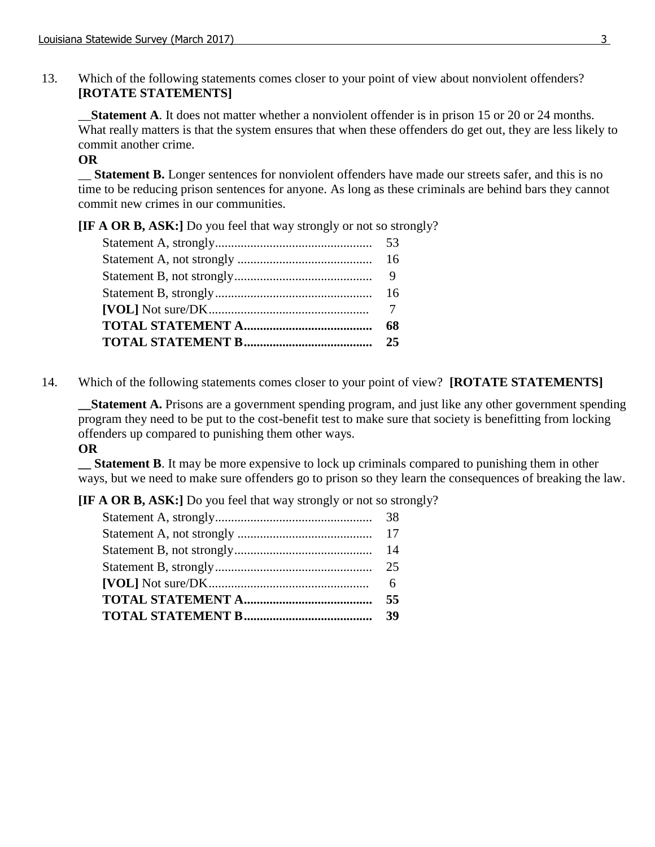13. Which of the following statements comes closer to your point of view about nonviolent offenders? **[ROTATE STATEMENTS]**

**Statement A**. It does not matter whether a nonviolent offender is in prison 15 or 20 or 24 months. What really matters is that the system ensures that when these offenders do get out, they are less likely to commit another crime.

### **OR**

\_\_ **Statement B.** Longer sentences for nonviolent offenders have made our streets safer, and this is no time to be reducing prison sentences for anyone. As long as these criminals are behind bars they cannot commit new crimes in our communities.

**[IF A OR B, ASK:]** Do you feel that way strongly or not so strongly?

14. Which of the following statements comes closer to your point of view? **[ROTATE STATEMENTS]**

**\_\_Statement A.** Prisons are a government spending program, and just like any other government spending program they need to be put to the cost-benefit test to make sure that society is benefitting from locking offenders up compared to punishing them other ways.

#### **OR**

**\_\_ Statement B**. It may be more expensive to lock up criminals compared to punishing them in other ways, but we need to make sure offenders go to prison so they learn the consequences of breaking the law.

**[IF A OR B, ASK:]** Do you feel that way strongly or not so strongly?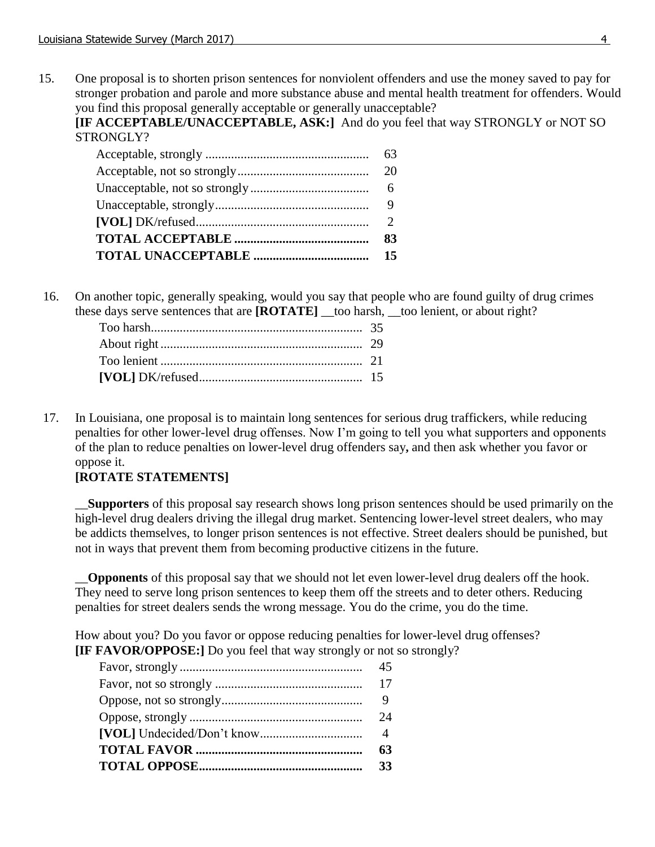15. One proposal is to shorten prison sentences for nonviolent offenders and use the money saved to pay for stronger probation and parole and more substance abuse and mental health treatment for offenders. Would you find this proposal generally acceptable or generally unacceptable?

**[IF ACCEPTABLE/UNACCEPTABLE, ASK:]** And do you feel that way STRONGLY or NOT SO STRONGLY?

16. On another topic, generally speaking, would you say that people who are found guilty of drug crimes these days serve sentences that are **[ROTATE]** \_\_too harsh, \_\_too lenient, or about right?

17. **[**In Louisiana, one proposal is to maintain long sentences for serious drug traffickers, while reducing penalties for other lower-level drug offenses. Now I'm going to tell you what supporters and opponents of the plan to reduce penalties on lower-level drug offenders say**,** and then ask whether you favor or oppose it.

### **[ROTATE STATEMENTS]**

\_\_**Supporters** of this proposal say research shows long prison sentences should be used primarily on the high-level drug dealers driving the illegal drug market. Sentencing lower-level street dealers, who may be addicts themselves, to longer prison sentences is not effective. Street dealers should be punished, but not in ways that prevent them from becoming productive citizens in the future.

\_\_**Opponents** of this proposal say that we should not let even lower-level drug dealers off the hook. They need to serve long prison sentences to keep them off the streets and to deter others. Reducing penalties for street dealers sends the wrong message. You do the crime, you do the time.

How about you? Do you favor or oppose reducing penalties for lower-level drug offenses? **[IF FAVOR/OPPOSE:]** Do you feel that way strongly or not so strongly?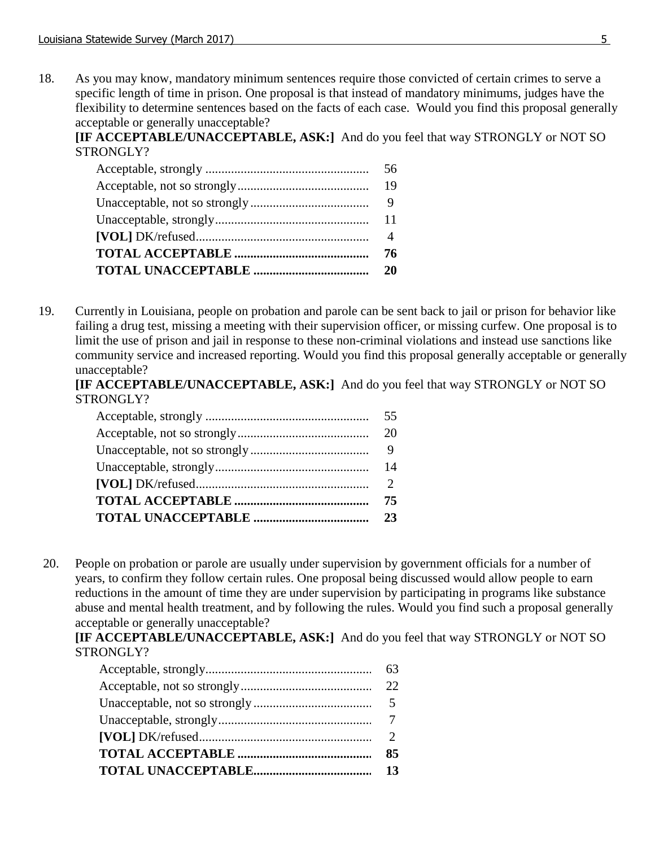18. As you may know, mandatory minimum sentences require those convicted of certain crimes to serve a specific length of time in prison. One proposal is that instead of mandatory minimums, judges have the flexibility to determine sentences based on the facts of each case. Would you find this proposal generally acceptable or generally unacceptable?

**[IF ACCEPTABLE/UNACCEPTABLE, ASK:]** And do you feel that way STRONGLY or NOT SO STRONGLY?

19. Currently in Louisiana, people on probation and parole can be sent back to jail or prison for behavior like failing a drug test, missing a meeting with their supervision officer, or missing curfew. One proposal is to limit the use of prison and jail in response to these non-criminal violations and instead use sanctions like community service and increased reporting. Would you find this proposal generally acceptable or generally unacceptable?

**[IF ACCEPTABLE/UNACCEPTABLE, ASK:]** And do you feel that way STRONGLY or NOT SO STRONGLY?

20. People on probation or parole are usually under supervision by government officials for a number of years, to confirm they follow certain rules. One proposal being discussed would allow people to earn reductions in the amount of time they are under supervision by participating in programs like substance abuse and mental health treatment, and by following the rules. Would you find such a proposal generally acceptable or generally unacceptable?

**[IF ACCEPTABLE/UNACCEPTABLE, ASK:]** And do you feel that way STRONGLY or NOT SO STRONGLY?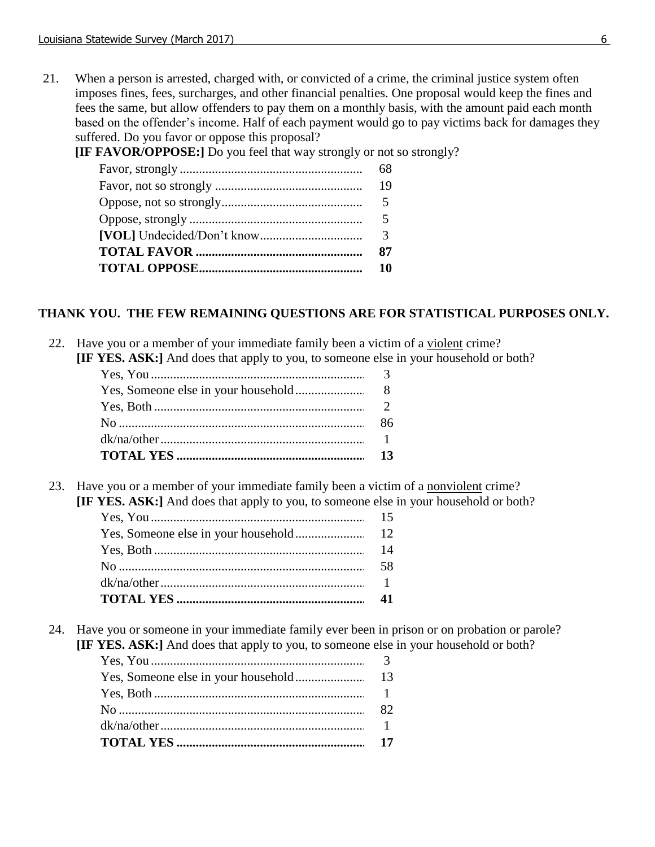21. When a person is arrested, charged with, or convicted of a crime, the criminal justice system often imposes fines, fees, surcharges, and other financial penalties. One proposal would keep the fines and fees the same, but allow offenders to pay them on a monthly basis, with the amount paid each month based on the offender's income. Half of each payment would go to pay victims back for damages they suffered. Do you favor or oppose this proposal?

**[IF FAVOR/OPPOSE:]** Do you feel that way strongly or not so strongly?

#### **THANK YOU. THE FEW REMAINING QUESTIONS ARE FOR STATISTICAL PURPOSES ONLY.**

22. Have you or a member of your immediate family been a victim of a violent crime? **[IF YES. ASK:]** And does that apply to you, to someone else in your household or both?

23. Have you or a member of your immediate family been a victim of a nonviolent crime? **[IF YES. ASK:]** And does that apply to you, to someone else in your household or both?

24. Have you or someone in your immediate family ever been in prison or on probation or parole? **[IF YES. ASK:]** And does that apply to you, to someone else in your household or both?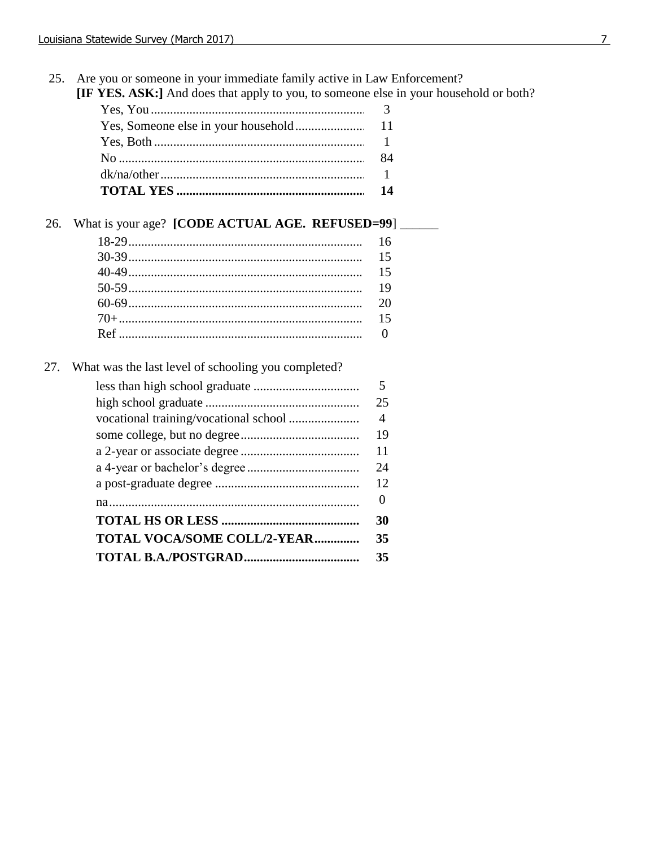25. Are you or someone in your immediate family active in Law Enforcement?

**IF YES. ASK:**] And does that apply to you, to someone else in your household or both?

# 26. What is your age? [CODE ACTUAL AGE. REFUSED=99]

27. What was the last level of schooling you completed?

|                                    | 5  |
|------------------------------------|----|
|                                    | 25 |
|                                    | 4  |
|                                    | 19 |
|                                    | 11 |
|                                    | 24 |
|                                    | 12 |
|                                    | 0  |
|                                    | 30 |
| <b>TOTAL VOCA/SOME COLL/2-YEAR</b> | 35 |
|                                    | 35 |
|                                    |    |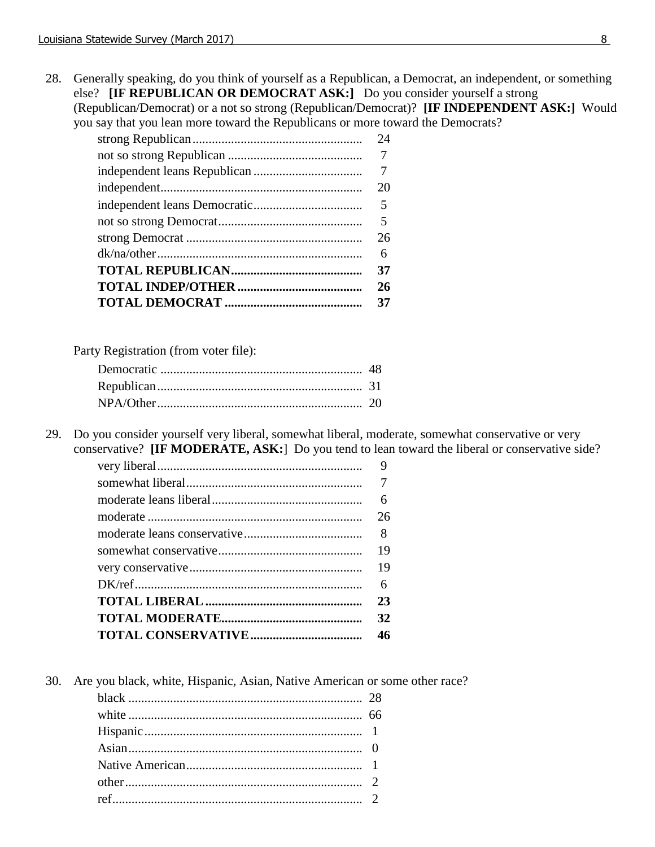28. Generally speaking, do you think of yourself as a Republican, a Democrat, an independent, or something else? **[IF REPUBLICAN OR DEMOCRAT ASK:]** Do you consider yourself a strong (Republican/Democrat) or a not so strong (Republican/Democrat)? **[IF INDEPENDENT ASK:]** Would you say that you lean more toward the Republicans or more toward the Democrats?

| 24 |
|----|
|    |
| 7  |
| 20 |
| 5  |
| 5  |
| 26 |
| 6  |
| 37 |
| 26 |
| 37 |

Party Registration (from voter file):

29. Do you consider yourself very liberal, somewhat liberal, moderate, somewhat conservative or very conservative? **[IF MODERATE, ASK:**] Do you tend to lean toward the liberal or conservative side?

| 9  |
|----|
|    |
| 6  |
| 26 |
| 8  |
| 19 |
| 19 |
| 6  |
| 23 |
| 32 |
| 46 |

30. Are you black, white, Hispanic, Asian, Native American or some other race?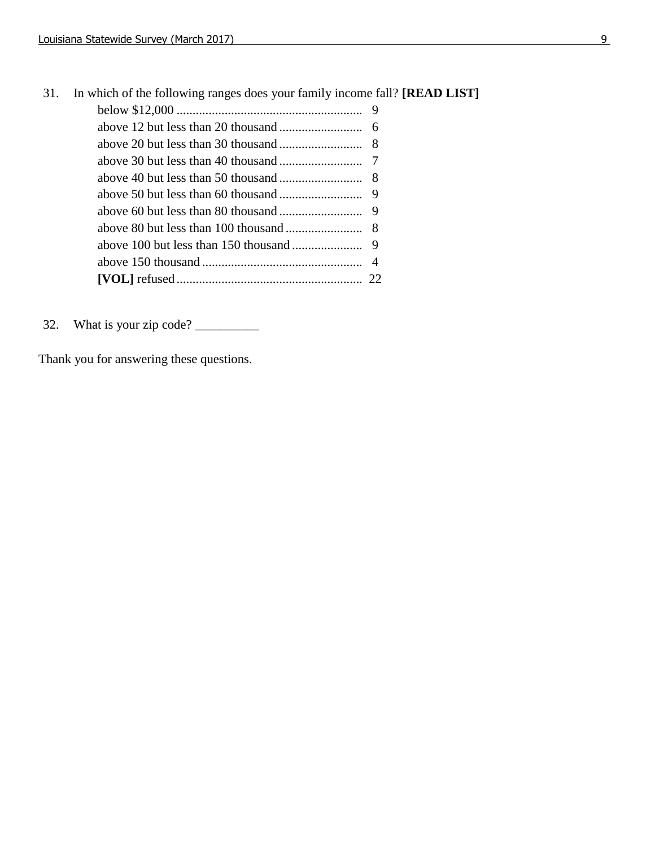| 31. | In which of the following ranges does your family income fall? [ <b>READ LIST</b> ] |  |
|-----|-------------------------------------------------------------------------------------|--|
|     |                                                                                     |  |
|     |                                                                                     |  |
|     |                                                                                     |  |
|     |                                                                                     |  |
|     |                                                                                     |  |
|     |                                                                                     |  |
|     |                                                                                     |  |
|     |                                                                                     |  |
|     |                                                                                     |  |
|     |                                                                                     |  |
|     |                                                                                     |  |

32. What is your zip code? \_\_\_\_\_\_\_\_\_\_

Thank you for answering these questions.